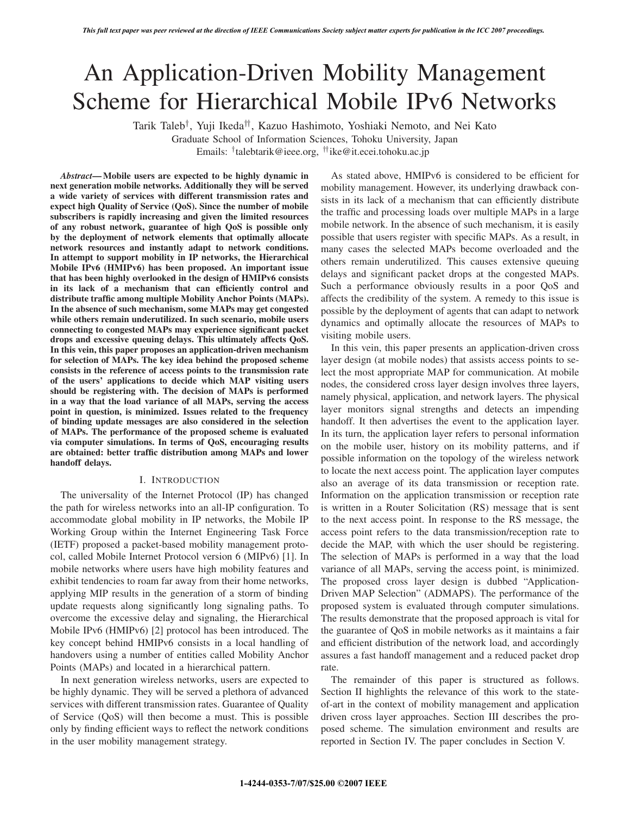# An Application-Driven Mobility Management Scheme for Hierarchical Mobile IPv6 Networks

Tarik Taleb†, Yuji Ikeda††, Kazuo Hashimoto, Yoshiaki Nemoto, and Nei Kato

Graduate School of Information Sciences, Tohoku University, Japan Emails: †talebtarik@ieee.org, ††ike@it.ecei.tohoku.ac.jp

*Abstract***— Mobile users are expected to be highly dynamic in next generation mobile networks. Additionally they will be served a wide variety of services with different transmission rates and expect high Quality of Service (QoS). Since the number of mobile subscribers is rapidly increasing and given the limited resources of any robust network, guarantee of high QoS is possible only by the deployment of network elements that optimally allocate network resources and instantly adapt to network conditions. In attempt to support mobility in IP networks, the Hierarchical Mobile IPv6 (HMIPv6) has been proposed. An important issue that has been highly overlooked in the design of HMIPv6 consists in its lack of a mechanism that can efficiently control and distribute traffic among multiple Mobility Anchor Points (MAPs). In the absence of such mechanism, some MAPs may get congested while others remain underutilized. In such scenario, mobile users connecting to congested MAPs may experience significant packet drops and excessive queuing delays. This ultimately affects QoS. In this vein, this paper proposes an application-driven mechanism for selection of MAPs. The key idea behind the proposed scheme consists in the reference of access points to the transmission rate of the users' applications to decide which MAP visiting users should be registering with. The decision of MAPs is performed in a way that the load variance of all MAPs, serving the access point in question, is minimized. Issues related to the frequency of binding update messages are also considered in the selection of MAPs. The performance of the proposed scheme is evaluated via computer simulations. In terms of QoS, encouraging results are obtained: better traffic distribution among MAPs and lower handoff delays.**

## I. INTRODUCTION

The universality of the Internet Protocol (IP) has changed the path for wireless networks into an all-IP configuration. To accommodate global mobility in IP networks, the Mobile IP Working Group within the Internet Engineering Task Force (IETF) proposed a packet-based mobility management protocol, called Mobile Internet Protocol version 6 (MIPv6) [1]. In mobile networks where users have high mobility features and exhibit tendencies to roam far away from their home networks, applying MIP results in the generation of a storm of binding update requests along significantly long signaling paths. To overcome the excessive delay and signaling, the Hierarchical Mobile IPv6 (HMIPv6) [2] protocol has been introduced. The key concept behind HMIPv6 consists in a local handling of handovers using a number of entities called Mobility Anchor Points (MAPs) and located in a hierarchical pattern.

In next generation wireless networks, users are expected to be highly dynamic. They will be served a plethora of advanced services with different transmission rates. Guarantee of Quality of Service (QoS) will then become a must. This is possible only by finding efficient ways to reflect the network conditions in the user mobility management strategy.

As stated above, HMIPv6 is considered to be efficient for mobility management. However, its underlying drawback consists in its lack of a mechanism that can efficiently distribute the traffic and processing loads over multiple MAPs in a large mobile network. In the absence of such mechanism, it is easily possible that users register with specific MAPs. As a result, in many cases the selected MAPs become overloaded and the others remain underutilized. This causes extensive queuing delays and significant packet drops at the congested MAPs. Such a performance obviously results in a poor QoS and affects the credibility of the system. A remedy to this issue is possible by the deployment of agents that can adapt to network dynamics and optimally allocate the resources of MAPs to visiting mobile users.

In this vein, this paper presents an application-driven cross layer design (at mobile nodes) that assists access points to select the most appropriate MAP for communication. At mobile nodes, the considered cross layer design involves three layers, namely physical, application, and network layers. The physical layer monitors signal strengths and detects an impending handoff. It then advertises the event to the application layer. In its turn, the application layer refers to personal information on the mobile user, history on its mobility patterns, and if possible information on the topology of the wireless network to locate the next access point. The application layer computes also an average of its data transmission or reception rate. Information on the application transmission or reception rate is written in a Router Solicitation (RS) message that is sent to the next access point. In response to the RS message, the access point refers to the data transmission/reception rate to decide the MAP, with which the user should be registering. The selection of MAPs is performed in a way that the load variance of all MAPs, serving the access point, is minimized. The proposed cross layer design is dubbed "Application-Driven MAP Selection" (ADMAPS). The performance of the proposed system is evaluated through computer simulations. The results demonstrate that the proposed approach is vital for the guarantee of QoS in mobile networks as it maintains a fair and efficient distribution of the network load, and accordingly assures a fast handoff management and a reduced packet drop rate.

The remainder of this paper is structured as follows. Section II highlights the relevance of this work to the stateof-art in the context of mobility management and application driven cross layer approaches. Section III describes the proposed scheme. The simulation environment and results are reported in Section IV. The paper concludes in Section V.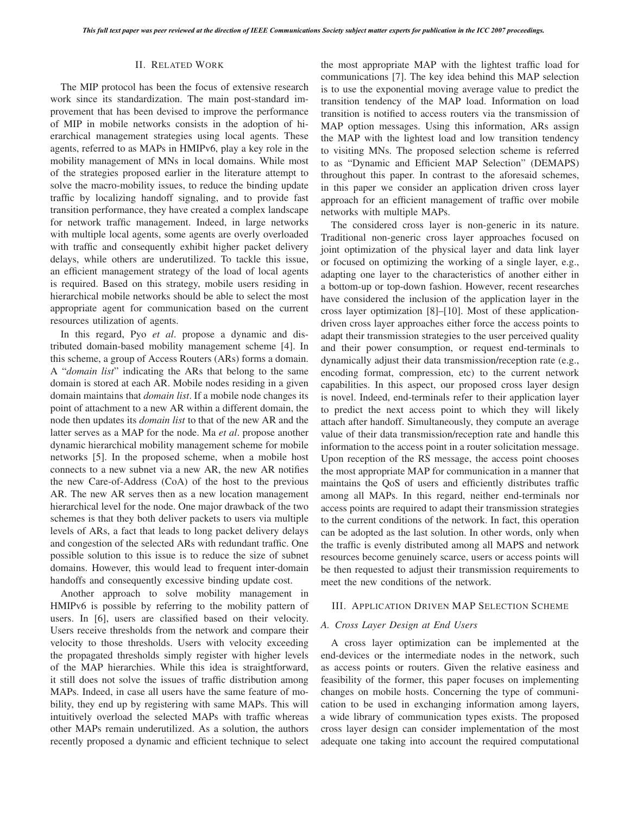#### II. RELATED WORK

The MIP protocol has been the focus of extensive research work since its standardization. The main post-standard improvement that has been devised to improve the performance of MIP in mobile networks consists in the adoption of hierarchical management strategies using local agents. These agents, referred to as MAPs in HMIPv6, play a key role in the mobility management of MNs in local domains. While most of the strategies proposed earlier in the literature attempt to solve the macro-mobility issues, to reduce the binding update traffic by localizing handoff signaling, and to provide fast transition performance, they have created a complex landscape for network traffic management. Indeed, in large networks with multiple local agents, some agents are overly overloaded with traffic and consequently exhibit higher packet delivery delays, while others are underutilized. To tackle this issue, an efficient management strategy of the load of local agents is required. Based on this strategy, mobile users residing in hierarchical mobile networks should be able to select the most appropriate agent for communication based on the current resources utilization of agents.

In this regard, Pyo *et al*. propose a dynamic and distributed domain-based mobility management scheme [4]. In this scheme, a group of Access Routers (ARs) forms a domain. A "*domain list*" indicating the ARs that belong to the same domain is stored at each AR. Mobile nodes residing in a given domain maintains that *domain list*. If a mobile node changes its point of attachment to a new AR within a different domain, the node then updates its *domain list* to that of the new AR and the latter serves as a MAP for the node. Ma *et al*. propose another dynamic hierarchical mobility management scheme for mobile networks [5]. In the proposed scheme, when a mobile host connects to a new subnet via a new AR, the new AR notifies the new Care-of-Address (CoA) of the host to the previous AR. The new AR serves then as a new location management hierarchical level for the node. One major drawback of the two schemes is that they both deliver packets to users via multiple levels of ARs, a fact that leads to long packet delivery delays and congestion of the selected ARs with redundant traffic. One possible solution to this issue is to reduce the size of subnet domains. However, this would lead to frequent inter-domain handoffs and consequently excessive binding update cost.

Another approach to solve mobility management in HMIPv6 is possible by referring to the mobility pattern of users. In [6], users are classified based on their velocity. Users receive thresholds from the network and compare their velocity to those thresholds. Users with velocity exceeding the propagated thresholds simply register with higher levels of the MAP hierarchies. While this idea is straightforward, it still does not solve the issues of traffic distribution among MAPs. Indeed, in case all users have the same feature of mobility, they end up by registering with same MAPs. This will intuitively overload the selected MAPs with traffic whereas other MAPs remain underutilized. As a solution, the authors recently proposed a dynamic and efficient technique to select

the most appropriate MAP with the lightest traffic load for communications [7]. The key idea behind this MAP selection is to use the exponential moving average value to predict the transition tendency of the MAP load. Information on load transition is notified to access routers via the transmission of MAP option messages. Using this information, ARs assign the MAP with the lightest load and low transition tendency to visiting MNs. The proposed selection scheme is referred to as "Dynamic and Efficient MAP Selection" (DEMAPS) throughout this paper. In contrast to the aforesaid schemes, in this paper we consider an application driven cross layer approach for an efficient management of traffic over mobile networks with multiple MAPs.

The considered cross layer is non-generic in its nature. Traditional non-generic cross layer approaches focused on joint optimization of the physical layer and data link layer or focused on optimizing the working of a single layer, e.g., adapting one layer to the characteristics of another either in a bottom-up or top-down fashion. However, recent researches have considered the inclusion of the application layer in the cross layer optimization [8]–[10]. Most of these applicationdriven cross layer approaches either force the access points to adapt their transmission strategies to the user perceived quality and their power consumption, or request end-terminals to dynamically adjust their data transmission/reception rate (e.g., encoding format, compression, etc) to the current network capabilities. In this aspect, our proposed cross layer design is novel. Indeed, end-terminals refer to their application layer to predict the next access point to which they will likely attach after handoff. Simultaneously, they compute an average value of their data transmission/reception rate and handle this information to the access point in a router solicitation message. Upon reception of the RS message, the access point chooses the most appropriate MAP for communication in a manner that maintains the QoS of users and efficiently distributes traffic among all MAPs. In this regard, neither end-terminals nor access points are required to adapt their transmission strategies to the current conditions of the network. In fact, this operation can be adopted as the last solution. In other words, only when the traffic is evenly distributed among all MAPS and network resources become genuinely scarce, users or access points will be then requested to adjust their transmission requirements to meet the new conditions of the network.

## III. APPLICATION DRIVEN MAP SELECTION SCHEME

#### *A. Cross Layer Design at End Users*

A cross layer optimization can be implemented at the end-devices or the intermediate nodes in the network, such as access points or routers. Given the relative easiness and feasibility of the former, this paper focuses on implementing changes on mobile hosts. Concerning the type of communication to be used in exchanging information among layers, a wide library of communication types exists. The proposed cross layer design can consider implementation of the most adequate one taking into account the required computational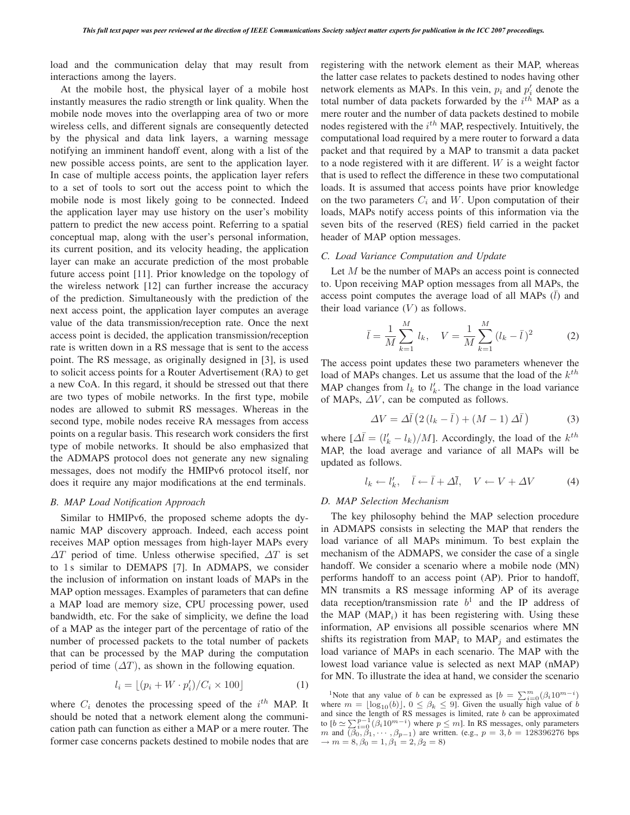load and the communication delay that may result from interactions among the layers.

At the mobile host, the physical layer of a mobile host instantly measures the radio strength or link quality. When the mobile node moves into the overlapping area of two or more wireless cells, and different signals are consequently detected by the physical and data link layers, a warning message notifying an imminent handoff event, along with a list of the new possible access points, are sent to the application layer. In case of multiple access points, the application layer refers to a set of tools to sort out the access point to which the mobile node is most likely going to be connected. Indeed the application layer may use history on the user's mobility pattern to predict the new access point. Referring to a spatial conceptual map, along with the user's personal information, its current position, and its velocity heading, the application layer can make an accurate prediction of the most probable future access point [11]. Prior knowledge on the topology of the wireless network [12] can further increase the accuracy of the prediction. Simultaneously with the prediction of the next access point, the application layer computes an average value of the data transmission/reception rate. Once the next access point is decided, the application transmission/reception rate is written down in a RS message that is sent to the access point. The RS message, as originally designed in [3], is used to solicit access points for a Router Advertisement (RA) to get a new CoA. In this regard, it should be stressed out that there are two types of mobile networks. In the first type, mobile nodes are allowed to submit RS messages. Whereas in the second type, mobile nodes receive RA messages from access points on a regular basis. This research work considers the first type of mobile networks. It should be also emphasized that the ADMAPS protocol does not generate any new signaling messages, does not modify the HMIPv6 protocol itself, nor does it require any major modifications at the end terminals.

## *B. MAP Load Notification Approach*

Similar to HMIPv6, the proposed scheme adopts the dynamic MAP discovery approach. Indeed, each access point receives MAP option messages from high-layer MAPs every  $\Delta T$  period of time. Unless otherwise specified,  $\Delta T$  is set to 1s similar to DEMAPS [7]. In ADMAPS, we consider the inclusion of information on instant loads of MAPs in the MAP option messages. Examples of parameters that can define a MAP load are memory size, CPU processing power, used bandwidth, etc. For the sake of simplicity, we define the load of a MAP as the integer part of the percentage of ratio of the number of processed packets to the total number of packets that can be processed by the MAP during the computation period of time  $(\Delta T)$ , as shown in the following equation.

$$
l_i = \lfloor (p_i + W \cdot p'_i) / C_i \times 100 \rfloor \tag{1}
$$

where  $C_i$  denotes the processing speed of the  $i^{th}$  MAP. It should be noted that a network element along the communication path can function as either a MAP or a mere router. The former case concerns packets destined to mobile nodes that are registering with the network element as their MAP, whereas the latter case relates to packets destined to nodes having other network elements as MAPs. In this vein,  $p_i$  and  $p'_i$  denote the total number of data packets forwarded by the  $i^{th}$  MAP as a mere router and the number of data packets destined to mobile nodes registered with the  $i^{th}$  MAP, respectively. Intuitively, the computational load required by a mere router to forward a data packet and that required by a MAP to transmit a data packet to a node registered with it are different. W is a weight factor that is used to reflect the difference in these two computational loads. It is assumed that access points have prior knowledge on the two parameters  $C_i$  and  $W$ . Upon computation of their loads, MAPs notify access points of this information via the seven bits of the reserved (RES) field carried in the packet header of MAP option messages.

## *C. Load Variance Computation and Update*

Let M be the number of MAPs an access point is connected to. Upon receiving MAP option messages from all MAPs, the access point computes the average load of all MAPs  $(l)$  and their load variance  $(V)$  as follows.

$$
\bar{l} = \frac{1}{M} \sum_{k=1}^{M} l_k, \quad V = \frac{1}{M} \sum_{k=1}^{M} (l_k - \bar{l})^2
$$
 (2)

The access point updates these two parameters whenever the load of MAPs changes. Let us assume that the load of the k*th* MAP changes from  $l_k$  to  $l'_k$ . The change in the load variance of MAPs,  $\Delta V$ , can be computed as follows.

$$
\Delta V = \Delta \bar{l} \left( 2 \left( l_k - \bar{l} \right) + \left( M - 1 \right) \Delta \bar{l} \right) \tag{3}
$$

where  $[\Delta \bar{l} = (l'_k - l_k)/M]$ . Accordingly, the load of the k<sup>th</sup> MAP the load average and variance of all MAPs will be MAP, the load average and variance of all MAPs will be updated as follows.

$$
l_k \leftarrow l'_k, \quad \bar{l} \leftarrow \bar{l} + \Delta \bar{l}, \quad V \leftarrow V + \Delta V \tag{4}
$$

## *D. MAP Selection Mechanism*

The key philosophy behind the MAP selection procedure in ADMAPS consists in selecting the MAP that renders the load variance of all MAPs minimum. To best explain the mechanism of the ADMAPS, we consider the case of a single handoff. We consider a scenario where a mobile node (MN) performs handoff to an access point (AP). Prior to handoff, MN transmits a RS message informing AP of its average data reception/transmission rate  $b<sup>1</sup>$  and the IP address of the MAP  $(MAP<sub>i</sub>)$  it has been registering with. Using these information, AP envisions all possible scenarios where MN shifts its registration from  $\text{MAP}_i$  to  $\text{MAP}_j$  and estimates the load variance of MAPs in each scenario. The MAP with the lowest load variance value is selected as next MAP (nMAP) for MN. To illustrate the idea at hand, we consider the scenario

<sup>&</sup>lt;sup>1</sup>Note that any value of *b* can be expressed as  $[b] = \sum_{i=0}^{m} (\beta_i 10^{m-i})$ <br>pere  $m = \lfloor \log_{10}(b) \rfloor$   $0 \le \beta_k \le 9$ **I** Given the usually high value of *h* where  $m = \lfloor \log_{10}(b) \rfloor$ ,  $0 \le \beta_k \le 9$ . Given the usually high value of b and since the length of RS messages is limited, rate b can be approximated and since the length of RS messages is limited, rate  $b$  can be approximated to  $[b \simeq \sum_{i=0}^{p-1} (\beta_i 10^{m-i})$  where  $p \leq m$ ]. In RS messages, only parameters  $m$  and  $(\beta_0, \beta_1, \dots, \beta_{n-1})$  are written  $(e \circ n = 3, b = 128396276$  bns m and  $(\beta_0, \beta_1, \cdots, \beta_{p-1})$  are written. (e.g.,  $p = 3, b = 128396276$  bps  $\rightarrow m = 8, \beta_0 = 1, \beta_1 = 2, \beta_2 = 8$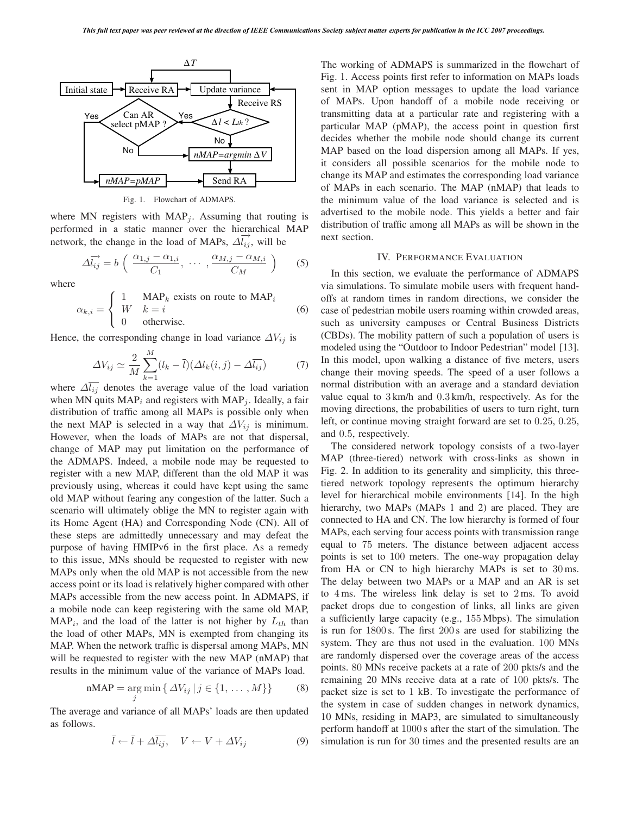

Fig. 1. Flowchart of ADMAPS.

where MN registers with  $MAP<sub>j</sub>$ . Assuming that routing is performed in a static manner over the hierarchical MAP network, the change in the load of MAPs,  $\Delta l_{ij}$ , will be

$$
\Delta \overrightarrow{l_{ij}} = b \left( \frac{\alpha_{1,j} - \alpha_{1,i}}{C_1}, \cdots, \frac{\alpha_{M,j} - \alpha_{M,i}}{C_M} \right)
$$
 (5)

where

$$
\alpha_{k,i} = \begin{cases} 1 & \text{MAP}_k \text{ exists on route to MAP}_i \\ W & k = i \\ 0 & \text{otherwise.} \end{cases}
$$
 (6)

Hence, the corresponding change in load variance  $\Delta V_{ij}$  is

$$
\Delta V_{ij} \simeq \frac{2}{M} \sum_{k=1}^{M} (l_k - \bar{l}) (\Delta l_k(i, j) - \Delta \bar{l}_{ij})
$$
(7)

where  $\Delta l_{ij}$  denotes the average value of the load variation when MN quits  $MAP<sub>i</sub>$  and registers with  $MAP<sub>j</sub>$ . Ideally, a fair distribution of traffic among all MAPs is possible only when the next MAP is selected in a way that  $\Delta V_{ij}$  is minimum. However, when the loads of MAPs are not that dispersal, change of MAP may put limitation on the performance of the ADMAPS. Indeed, a mobile node may be requested to register with a new MAP, different than the old MAP it was previously using, whereas it could have kept using the same old MAP without fearing any congestion of the latter. Such a scenario will ultimately oblige the MN to register again with its Home Agent (HA) and Corresponding Node (CN). All of these steps are admittedly unnecessary and may defeat the purpose of having HMIPv6 in the first place. As a remedy to this issue, MNs should be requested to register with new MAPs only when the old MAP is not accessible from the new access point or its load is relatively higher compared with other MAPs accessible from the new access point. In ADMAPS, if a mobile node can keep registering with the same old MAP,  $MAP<sub>i</sub>$ , and the load of the latter is not higher by  $L<sub>th</sub>$  than the load of other MAPs, MN is exempted from changing its MAP. When the network traffic is dispersal among MAPs, MN will be requested to register with the new MAP (nMAP) that results in the minimum value of the variance of MAPs load.

$$
nMAP = \underset{j}{\arg\min} \{ \Delta V_{ij} \, | \, j \in \{1, \dots, M\} \} \tag{8}
$$

The average and variance of all MAPs' loads are then updated as follows.

$$
\bar{l} \leftarrow \bar{l} + \Delta \bar{l}_{ij}, \quad V \leftarrow V + \Delta V_{ij}
$$
\n(9)

The working of ADMAPS is summarized in the flowchart of Fig. 1. Access points first refer to information on MAPs loads sent in MAP option messages to update the load variance of MAPs. Upon handoff of a mobile node receiving or transmitting data at a particular rate and registering with a particular MAP (pMAP), the access point in question first decides whether the mobile node should change its current MAP based on the load dispersion among all MAPs. If yes, it considers all possible scenarios for the mobile node to change its MAP and estimates the corresponding load variance of MAPs in each scenario. The MAP (nMAP) that leads to the minimum value of the load variance is selected and is advertised to the mobile node. This yields a better and fair distribution of traffic among all MAPs as will be shown in the next section.

#### IV. PERFORMANCE EVALUATION

In this section, we evaluate the performance of ADMAPS via simulations. To simulate mobile users with frequent handoffs at random times in random directions, we consider the case of pedestrian mobile users roaming within crowded areas, such as university campuses or Central Business Districts (CBDs). The mobility pattern of such a population of users is modeled using the "Outdoor to Indoor Pedestrian" model [13]. In this model, upon walking a distance of five meters, users change their moving speeds. The speed of a user follows a normal distribution with an average and a standard deviation value equal to 3 km/h and 0.3 km/h, respectively. As for the moving directions, the probabilities of users to turn right, turn left, or continue moving straight forward are set to 0.25, 0.25, and 0.5, respectively.

The considered network topology consists of a two-layer MAP (three-tiered) network with cross-links as shown in Fig. 2. In addition to its generality and simplicity, this threetiered network topology represents the optimum hierarchy level for hierarchical mobile environments [14]. In the high hierarchy, two MAPs (MAPs 1 and 2) are placed. They are connected to HA and CN. The low hierarchy is formed of four MAPs, each serving four access points with transmission range equal to 75 meters. The distance between adjacent access points is set to 100 meters. The one-way propagation delay from HA or CN to high hierarchy MAPs is set to 30 ms. The delay between two MAPs or a MAP and an AR is set to 4 ms. The wireless link delay is set to 2 ms. To avoid packet drops due to congestion of links, all links are given a sufficiently large capacity (e.g., 155 Mbps). The simulation is run for 1800 s. The first 200 s are used for stabilizing the system. They are thus not used in the evaluation. 100 MNs are randomly dispersed over the coverage areas of the access points. 80 MNs receive packets at a rate of 200 pkts/s and the remaining 20 MNs receive data at a rate of 100 pkts/s. The packet size is set to 1 kB. To investigate the performance of the system in case of sudden changes in network dynamics, 10 MNs, residing in MAP3, are simulated to simultaneously perform handoff at 1000 s after the start of the simulation. The simulation is run for 30 times and the presented results are an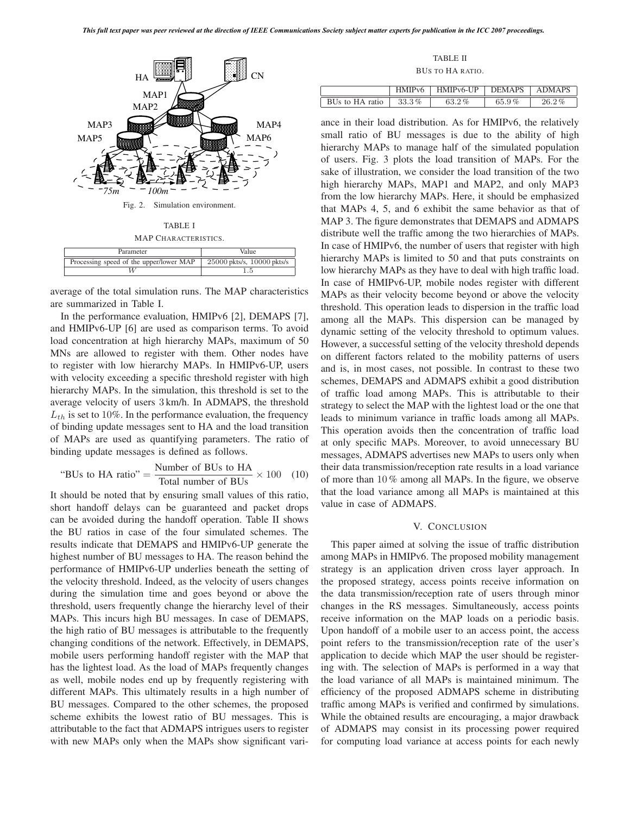ļ



average of the total simulation runs. The MAP characteristics are summarized in Table I.

In the performance evaluation, HMIPv6 [2], DEMAPS [7], and HMIPv6-UP [6] are used as comparison terms. To avoid load concentration at high hierarchy MAPs, maximum of 50 MNs are allowed to register with them. Other nodes have to register with low hierarchy MAPs. In HMIPv6-UP, users with velocity exceeding a specific threshold register with high hierarchy MAPs. In the simulation, this threshold is set to the average velocity of users 3 km/h. In ADMAPS, the threshold  $L_{th}$  is set to 10%. In the performance evaluation, the frequency of binding update messages sent to HA and the load transition of MAPs are used as quantifying parameters. The ratio of binding update messages is defined as follows.

"BUS to HA ratio" = 
$$
\frac{\text{Number of BUs to HA}}{\text{Total number of BUs}} \times 100
$$
 (10)

It should be noted that by ensuring small values of this ratio, short handoff delays can be guaranteed and packet drops can be avoided during the handoff operation. Table II shows the BU ratios in case of the four simulated schemes. The results indicate that DEMAPS and HMIPv6-UP generate the highest number of BU messages to HA. The reason behind the performance of HMIPv6-UP underlies beneath the setting of the velocity threshold. Indeed, as the velocity of users changes during the simulation time and goes beyond or above the threshold, users frequently change the hierarchy level of their MAPs. This incurs high BU messages. In case of DEMAPS, the high ratio of BU messages is attributable to the frequently changing conditions of the network. Effectively, in DEMAPS, mobile users performing handoff register with the MAP that has the lightest load. As the load of MAPs frequently changes as well, mobile nodes end up by frequently registering with different MAPs. This ultimately results in a high number of BU messages. Compared to the other schemes, the proposed scheme exhibits the lowest ratio of BU messages. This is attributable to the fact that ADMAPS intrigues users to register with new MAPs only when the MAPs show significant vari-

TABLE II

BUS TO HA RATIO.

|                 | HMIP <sub>v</sub> 6 | HMIP <sub>v</sub> 6-UP | <b>DEMAPS</b> | <b>ADMAPS</b> |
|-----------------|---------------------|------------------------|---------------|---------------|
| BUs to HA ratio | $33.3\%$            | $63.2\%$               | 65.9%         | $26.2\%$      |
|                 |                     |                        |               |               |

ance in their load distribution. As for HMIPv6, the relatively small ratio of BU messages is due to the ability of high hierarchy MAPs to manage half of the simulated population of users. Fig. 3 plots the load transition of MAPs. For the sake of illustration, we consider the load transition of the two high hierarchy MAPs, MAP1 and MAP2, and only MAP3 from the low hierarchy MAPs. Here, it should be emphasized that MAPs 4, 5, and 6 exhibit the same behavior as that of MAP 3. The figure demonstrates that DEMAPS and ADMAPS distribute well the traffic among the two hierarchies of MAPs. In case of HMIPv6, the number of users that register with high hierarchy MAPs is limited to 50 and that puts constraints on low hierarchy MAPs as they have to deal with high traffic load. In case of HMIPv6-UP, mobile nodes register with different MAPs as their velocity become beyond or above the velocity threshold. This operation leads to dispersion in the traffic load among all the MAPs. This dispersion can be managed by dynamic setting of the velocity threshold to optimum values. However, a successful setting of the velocity threshold depends on different factors related to the mobility patterns of users and is, in most cases, not possible. In contrast to these two schemes, DEMAPS and ADMAPS exhibit a good distribution of traffic load among MAPs. This is attributable to their strategy to select the MAP with the lightest load or the one that leads to minimum variance in traffic loads among all MAPs. This operation avoids then the concentration of traffic load at only specific MAPs. Moreover, to avoid unnecessary BU messages, ADMAPS advertises new MAPs to users only when their data transmission/reception rate results in a load variance of more than 10 % among all MAPs. In the figure, we observe that the load variance among all MAPs is maintained at this value in case of ADMAPS.

## V. CONCLUSION

This paper aimed at solving the issue of traffic distribution among MAPs in HMIPv6. The proposed mobility management strategy is an application driven cross layer approach. In the proposed strategy, access points receive information on the data transmission/reception rate of users through minor changes in the RS messages. Simultaneously, access points receive information on the MAP loads on a periodic basis. Upon handoff of a mobile user to an access point, the access point refers to the transmission/reception rate of the user's application to decide which MAP the user should be registering with. The selection of MAPs is performed in a way that the load variance of all MAPs is maintained minimum. The efficiency of the proposed ADMAPS scheme in distributing traffic among MAPs is verified and confirmed by simulations. While the obtained results are encouraging, a major drawback of ADMAPS may consist in its processing power required for computing load variance at access points for each newly